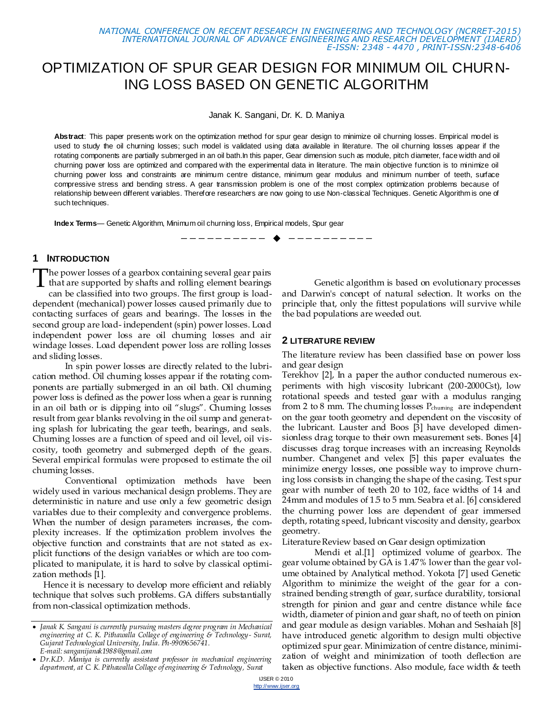# OPTIMIZATION OF SPUR GEAR DESIGN FOR MINIMUM OIL CHURN-ING LOSS BASED ON GENETIC ALGORITHM

Janak K. Sangani, Dr. K. D. Maniya

**Abstract**: This paper presents work on the optimization method for spur gear design to minimize oil churning losses. Empirical model is used to study the oil churning losses; such model is validated using data available in literature. The oil churning losses appear if the rotating components are partially submerged in an oil bath.In this paper, Gear dimension such as module, pitch diameter, face width and oil churning power loss are optimized and compared with the experimental data in literature. The main objective function is to minimize oil churning power loss and constraints are minimum centre distance, minimum gear modulus and minimum number of teeth, surface compressive stress and bending stress. A gear transmission problem is one of the most complex optimization problems because of relationship between different variables. Therefore researchers are now going to use Non-classical Techniques. Genetic Algorithm is one of such techniques.

—————————— ——————————

**Index Terms**— Genetic Algorithm, Minimum oil churning loss, Empirical models, Spur gear

#### **1 INTRODUCTION**

The power losses of a gearbox containing several gear pairs The power losses of a gearbox containing several gear pairs<br>that are supported by shafts and rolling element bearings<br>can be closed into two groups. The first group is load can be classified into two groups. The first group is loaddependent (mechanical) power losses caused primarily due to contacting surfaces of gears and bearings. The losses in the second group are load- independent (spin) power losses. Load independent power loss are oil churning losses and air windage losses. Load dependent power loss are rolling losses and sliding losses.

In spin power losses are directly related to the lubrication method. Oil churning losses appear if the rotating components are partially submerged in an oil bath. Oil churning power loss is defined as the power loss when a gear is running in an oil bath or is dipping into oil "slugs". Chuming losses result from gear blanks revolving in the oil sump and generating splash for lubricating the gear teeth, bearings, and seals. Churning losses are a function of speed and oil level, oil viscosity, tooth geometry and submerged depth of the gears. Several empirical formulas were proposed to estimate the oil churning losses.

Conventional optimization methods have been widely used in various mechanical design problems. They are deterministic in nature and use only a few geometric design variables due to their complexity and convergence problems. When the number of design parameters increases, the complexity increases. If the optimization problem involves the objective function and constraints that are not stated as explicit functions of the design variables or which are too complicated to manipulate, it is hard to solve by classical optimization methods [1].

Hence it is necessary to develop more efficient and reliably technique that solves such problems. GA differs substantially from non-classical optimization methods.

Genetic algorithm is based on evolutionary processes and Darwin's concept of natural selection. It works on the principle that, only the fittest populations will survive while the bad populations are weeded out.

#### **2 LITERATURE REVIEW**

The literature review has been classified base on power loss and gear design

Terekhov [2], In a paper the author conducted numerous experiments with high viscosity lubricant (200-2000Cst), low rotational speeds and tested gear with a modulus ranging from 2 to 8 mm. The chuming losses  $P_{\text{chuming}}$  are independent on the gear tooth geometry and dependent on the viscosity of the lubricant. Lauster and Boos [3] have developed dimensionless drag torque to their own measurement sets. Bones [4] discusses drag torque increases with an increasing Reynolds number. Changenet and velex [5] this paper evaluates the minimize energy losses, one possible way to improve churning loss consists in changing the shape of the casing. Test spur gear with number of teeth 20 to 102, face widths of 14 and 24mm and modules of 1.5 to 5 mm. Seabra et al. [6] considered the churning power loss are dependent of gear immersed depth, rotating speed, lubricant viscosity and density, gearbox geometry.

Literature Review based on Gear design optimization

Mendi et al.[1] optimized volume of gearbox. The gear volume obtained by GA is 1.47% lower than the gear volume obtained by Analytical method. Yokota [7] used Genetic Algorithm to minimize the weight of the gear for a constrained bending strength of gear, surface durability, torsional strength for pinion and gear and centre distance while face width, diameter of pinion and gear shaft, no of teeth on pinion and gear module as design variables. Mohan and Seshaiah [8] have introduced genetic algorithm to design multi objective optimized spur gear. Minimization of centre distance, minimization of weight and minimization of tooth deflection are taken as objective functions. Also module, face width & teeth

*Janak K. Sangani is currently pursuing masters degree program in Mechanical engineering at C. K. Pithawalla Collage of engineering & Technology- Surat, Gujarat Technological University, India. Ph-9909656741. E-mail: sanganijanak1988@gmail.com*

*Dr.K.D. Maniya is currently assistant professor in mechanical engineering department, at C. K. Pithawalla Collage of engineering & Technology, Surat*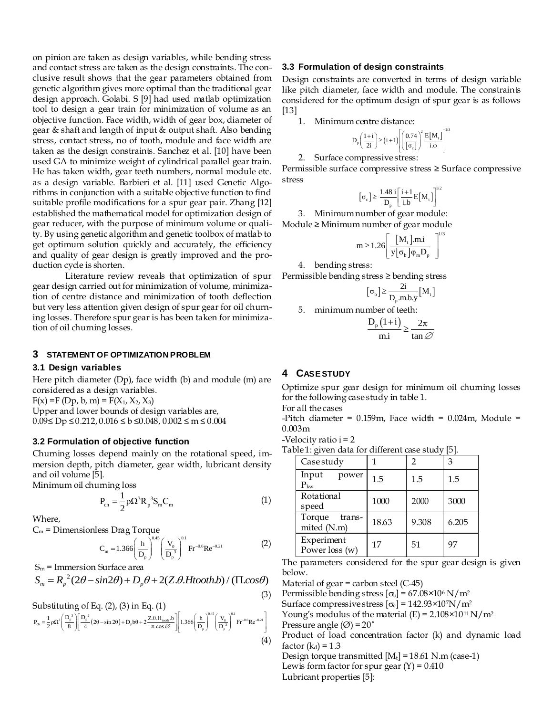on pinion are taken as design variables, while bending stress and contact stress are taken as the design constraints. The conclusive result shows that the gear parameters obtained from genetic algorithm gives more optimal than the traditional gear design approach. Golabi. S [9] had used matlab optimization tool to design a gear train for minimization of volume as an objective function. Face width, width of gear box, diameter of gear & shaft and length of input & output shaft. Also bending stress, contact stress, no of tooth, module and face width are taken as the design constraints. Sanchez et al. [10] have been used GA to minimize weight of cylindrical parallel gear train. He has taken width, gear teeth numbers, normal module etc. as a design variable. Barbieri et al. [11] used Genetic Algorithms in conjunction with a suitable objective function to find suitable profile modifications for a spur gear pair. Zhang [12] established the mathematical model for optimization design of gear reducer, with the purpose of minimum volume or quality. By using genetic algorithm and genetic toolbox of matlab to get optimum solution quickly and accurately, the efficiency and quality of gear design is greatly improved and the production cycle is shorten.

Literature review reveals that optimization of spur gear design carried out for minimization of volume, minimization of centre distance and minimization of tooth deflection but very less attention given design of spur gear for oil churning losses. Therefore spur gear is has been taken for minimization of oil churning losses.

#### **3 STATEMENT OF OPTIMIZATION PROBLEM**

#### **3.1 Design variables**

Here pitch diameter (Dp), face width (b) and module (m) are considered as a design variables.

 $F(x) = F(Dp, b, m) = F(X_1, X_2, X_3)$ Upper and lower bounds of design variables are,  $0.09 \le Dp \le 0.212, 0.016 \le b \le 0.048, 0.002 \le m \le 0.004$ 

#### **3.2 Formulation of objective function**

Churning losses depend mainly on the rotational speed, immersion depth, pitch diameter, gear width, lubricant density and oil volume [5].

Minimum oil churning loss

$$
P_{ch} = \frac{1}{2} \rho \Omega^3 R_p^3 S_m C_m
$$
 (1)

Where,

$$
C_m = \text{Dimensionless Drag Torque}
$$
\n
$$
C_m = 1.366 \left( \frac{h}{D_p} \right)^{0.45} \left( \frac{V_0}{D_p^3} \right)^{0.1} \text{Fr}^{-0.6} \text{Re}^{-0.21} \tag{2}
$$

 $S_m$  = Immersion Surface area

$$
S_m = \text{Immersion Surface area} \begin{cases} \n\sum_{m=1,300}^{\infty} \left( \frac{1}{D_p} \right) & \text{if } m \in \mathbb{Z} \n\end{cases} \text{The below} \begin{cases} \nS_m = R_p^2 (2\theta - \sin 2\theta) + D_p \theta + 2(Z.\theta. Htooth.b) / (\Pi \cos \theta) & \text{Mat} \n\end{cases}
$$

Substituting of Eq. (2), (3) in Eq. (1)  
\n
$$
P_{ch} = \frac{1}{2} \rho \Omega^{3} \left[ \frac{D_{p}^{3}}{8} \right] \left[ \frac{D_{p}^{2}}{4} (2\theta - \sin 2\theta) + D_{p} b\theta + 2 \frac{Z_{ch} H_{total} b}{\pi \cdot \cos \varnothing} \right] \left[ 1.366 \left( \frac{h}{D_{p}} \right)^{0.45} \left( \frac{V_{0}}{D_{p}} \right)^{0.1} \text{Fr}^{-0.6} \text{Re}^{-0.21} \right] \qquad \begin{array}{c} \text{Nouter} \\ \text{Surfac} \\ \text{Pressu} \end{array}
$$
\n
$$
\text{Produ} \qquad (4) \qquad \begin{array}{c} \text{Solution} \\ \text{Solution} \end{array}
$$

#### **3.3 Formulation of design constraints**

Design constraints are converted in terms of design variable like pitch diameter, face width and module. The constraints considered for the optimum design of spur gear is as follows [13]

1. Minimum centre distance:

$$
D_p\left(\frac{1+i}{2i}\right) \ge (i+1)\left[\left(\frac{0.74}{\sigma_c}\right)^2 \frac{E[M_i]}{i.\varphi}\right]^{1/3}
$$

2. Surface compressive stress:

Permissible surface compressive stress ≥ Surface compressive stress

$$
\left[\sigma_{\mathrm{c}}\right]\!\geq\frac{1.48\:\mathrm{i}}{D_{\mathrm{p}}}\!\!\left[\frac{\mathrm{i}\!+\!1}{\mathrm{i}.\mathrm{b}}\mathrm{E}\!\left[M_{\mathrm{t}}\right]\right]^{_{\!\!1/2}}
$$

3. Minimum number of gear module: Module ≥ Minimum number of gear module

$$
m \ge 1.26 \left[ \frac{[M_t] . mi}{y[\sigma_b] \varphi_m D_p} \right]^{1/3}
$$

4. bending stress:

Permissible bending stress ≥ bending stress

$$
\left[\sigma_{b}\right] \geq \frac{2i}{D_{p}.m.b.y}\big[M_{t}\big]
$$

5. minimum number of teeth:

$$
\frac{D_{p}(1+i)}{m.i} \ge \frac{2\pi}{\tan \varnothing}
$$

#### **4 CASE STUDY**

Optimize spur gear design for minimum oil churning losses for the following case study in table 1.

For all the cases

-Pitch diameter =  $0.159$ m, Face width =  $0.024$ m, Module = 0.003m

-Velocity ratio i = 2

| Tab <u>le 1:</u> given data for different case study [5]. |  |  |  |
|-----------------------------------------------------------|--|--|--|
|-----------------------------------------------------------|--|--|--|

| Case study                      |       | $\mathfrak{D}$ | 3     |  |
|---------------------------------|-------|----------------|-------|--|
| Input<br>power<br>$P_{kw}$      | 1.5   | 1.5            | 1.5   |  |
| Rotational<br>speed             | 1000  | 2000           | 3000  |  |
| Torque<br>trans-<br>mited (N.m) | 18.63 | 9.308          | 6.205 |  |
| Experiment<br>Power loss (w)    | 17    | 51             | 97    |  |

The parameters considered for the spur gear design is given below.

Material of gear  $=$  carbon steel (C-45)

(3) Permissible bending stress  $[\sigma_{b}] = 67.08 \times 10^{6} \text{ N/m}^{2}$ 

Surface compressive stress  $[\sigma_c] = 142.93 \times 10^7 N/m^2$ 

Young's modulus of the material  $(E) = 2.108 \times 10^{11} \text{ N/m}^2$ 

Pressure angle  $(\emptyset) = 20$ <sup>°</sup>

Product of load concentration factor (k) and dynamic load factor  $(k_d) = 1.3$ 

Design torque transmitted  $[M_t] = 18.61$  N.m (case-1) Lewis form factor for spur gear  $(Y) = 0.410$ Lubricant properties [5]: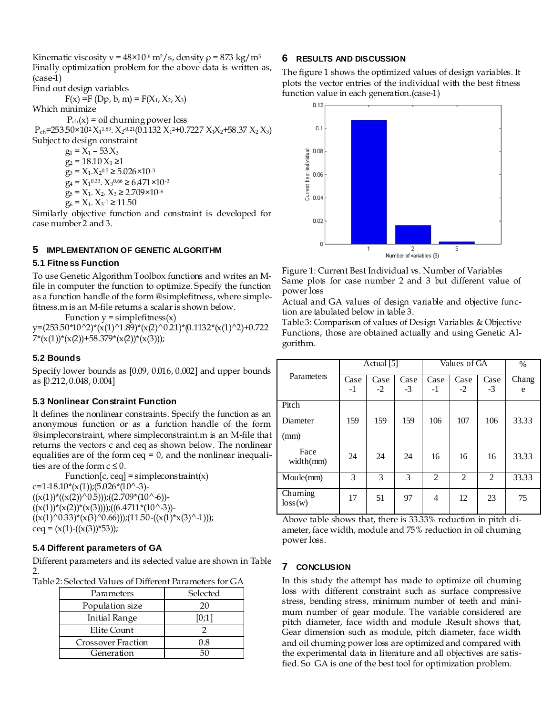Kinematic viscosity v =  $48 \times 10^{-6}$  m<sup>2</sup>/s, density  $\rho = 873$  kg/m<sup>3</sup> Finally optimization problem for the above data is written as, (case-1)

Find out design variables  $F(x) = F(Dp, b, m) = F(X_1, X_2, X_3)$ 

Which minimize

 $P_{ch}(x) = oil$  churning power loss

 $P_{ch}$ =253.50×10<sup>2</sup> X<sub>1</sub>1.89. X<sub>2</sub><sup>0.21</sup>(0.1132 X<sub>1</sub>2+0.7227 X<sub>1</sub>X<sub>2</sub>+58.37 X<sub>2</sub> X<sub>3</sub>)

Subject to design constraint

 $g_1 = X_1 - 53X_3$  $g_2 = 18.10 X_1 \ge 1$  $g_3 = X_1 \cdot X_2^{0.5} \ge 5.026 \times 10^{-3}$  $q_4 = X_1^{0.33}$ .  $X_3^{0.66} \ge 6.471 \times 10^{-3}$  $g_5 = X_1$ ,  $X_2$ ,  $X_3 \ge 2.709 \times 10^{-6}$ 

$$
g_6 = X_1, X_3^{-1} \ge 11.50
$$

Similarly objective function and constraint is developed for case number 2 and 3.

# **5 IMPLEMENTATION OF GENETIC ALGORITHM**

### **5.1 Fitness Function**

To use Genetic Algorithm Toolbox functions and writes an Mfile in computer the function to optimize. Specify the function as a function handle of the form @simplefitness, where simplefitness.m is an M-file returns a scalar is shown below.

Function  $y =$  simplefitness $(x)$ 

 $y=(253.50*10^2)*(x(1)^1.89)*(x(2)^0.21)*(0.1132*(x(1)^2)+0.722)$  $7*(x(1))^*(x(2))$ +58.379\*(x(2))\*(x(3)));

# **5.2 Bounds**

Specify lower bounds as [0.09, 0.016, 0.002] and upper bounds as [0.212, 0.048, 0.004]

# **5.3 Nonlinear Constraint Function**

It defines the nonlinear constraints. Specify the function as an anonymous function or as a function handle of the form @simpleconstraint, where simpleconstraint.m is an M-file that returns the vectors c and ceq as shown below*.* The nonlinear equalities are of the form ceq  $= 0$ , and the nonlinear inequalities are of the form  $c \leq 0$ .

 $Function[c, ceq] = simple constraint(x)$  $c=1-18.10*(x(1))$ ;(5.026\*(10^-3)- $((x(1))^*((x(2))^0.5))$ ; $((2.709*(10^6) ((x(1))^*(x(2))^*(x(3))))$ ; $((6.4711*(10^3-3))$ - $((x(1)^0.33)*(x(3)^0.66))$ ;(11.50- $((x(1)*x(3)^{-1}))$ ; ceq =  $(x(1)-(x(3))^*53)$ ;

# **5.4 Different parameters of GA**

Different parameters and its selected value are shown in Table 2.

Table 2: Selected Values of Different Parameters for GA

| Parameters                | Selected |  |  |
|---------------------------|----------|--|--|
| Population size           | 20       |  |  |
| <b>Initial Range</b>      | [0;1]    |  |  |
| Elite Count               |          |  |  |
| <b>Crossover Fraction</b> | 0.8      |  |  |
| Generation                |          |  |  |

# **6 RESULTS AND DISCUSSION**

The figure 1 shows the optimized values of design variables. It plots the vector entries of the individual with the best fitness function value in each generation.(case-1)



Figure 1: Current Best Individual vs. Number of Variables Same plots for case number 2 and 3 but different value of power loss

Actual and GA values of design variable and objective function are tabulated below in table 3.

Table 3: Comparison of values of Design Variables & Objective Functions, those are obtained actually and using Genetic Algorithm.

|                     | Actual [5]   |              |              | Values of GA   |                |                | $\frac{0}{0}$ |
|---------------------|--------------|--------------|--------------|----------------|----------------|----------------|---------------|
| Parameters          | Case<br>$-1$ | Case<br>$-2$ | Case<br>$-3$ | Case<br>-1     | Case<br>$-2$   | Case<br>$-3$   | Chang<br>e    |
| Pitch               |              |              |              |                |                |                |               |
| Diameter            | 159          | 159          | 159          | 106            | 107            | 106            | 33.33         |
| (mm)                |              |              |              |                |                |                |               |
| Face<br>width(mm)   | 24           | 24           | 24           | 16             | 16             | 16             | 33.33         |
| Moule(mm)           | 3            | 3            | 3            | $\overline{2}$ | $\overline{2}$ | $\overline{2}$ | 33.33         |
| Churning<br>loss(w) | 17           | 51           | 97           | 4              | 12             | 23             | 75            |

Above table shows that, there is 33.33% reduction in pitch diameter, face width, module and 75% reduction in oil churning power loss.

# **7 CONCLUSION**

In this study the attempt has made to optimize oil churning loss with different constraint such as surface compressive stress, bending stress, minimum number of teeth and minimum number of gear module. The variable considered are pitch diameter, face width and module .Result shows that, Gear dimension such as module, pitch diameter, face width and oil churning power loss are optimized and compared with the experimental data in literature and all objectives are satisfied. So GA is one of the best tool for optimization problem.